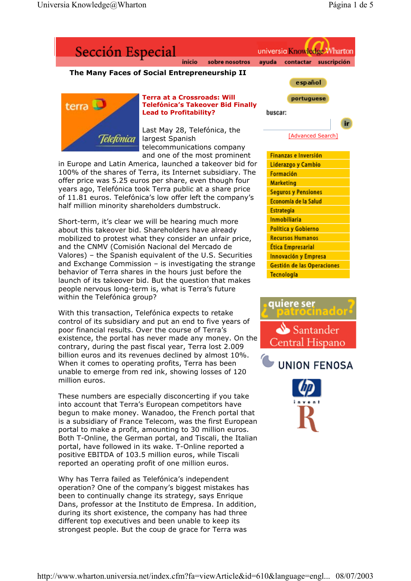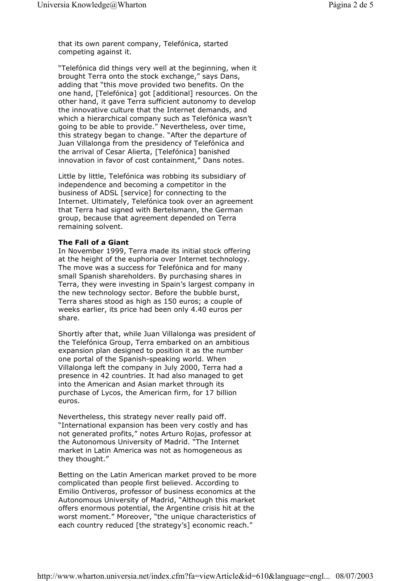that its own parent company, Telefónica, started competing against it.

"Telefónica did things very well at the beginning, when it brought Terra onto the stock exchange," says Dans, adding that "this move provided two benefits. On the one hand, [Telefónica] got [additional] resources. On the other hand, it gave Terra sufficient autonomy to develop the innovative culture that the Internet demands, and which a hierarchical company such as Telefónica wasn't going to be able to provide." Nevertheless, over time, this strategy began to change. "After the departure of Juan Villalonga from the presidency of Telefónica and the arrival of Cesar Alierta, [Telefónica] banished innovation in favor of cost containment," Dans notes.

Little by little, Telefónica was robbing its subsidiary of independence and becoming a competitor in the business of ADSL [service] for connecting to the Internet. Ultimately, Telefónica took over an agreement that Terra had signed with Bertelsmann, the German group, because that agreement depended on Terra remaining solvent.

## **The Fall of a Giant**

In November 1999, Terra made its initial stock offering at the height of the euphoria over Internet technology. The move was a success for Telefónica and for many small Spanish shareholders. By purchasing shares in Terra, they were investing in Spain's largest company in the new technology sector. Before the bubble burst, Terra shares stood as high as 150 euros; a couple of weeks earlier, its price had been only 4.40 euros per share.

Shortly after that, while Juan Villalonga was president of the Telefónica Group, Terra embarked on an ambitious expansion plan designed to position it as the number one portal of the Spanish-speaking world. When Villalonga left the company in July 2000, Terra had a presence in 42 countries. It had also managed to get into the American and Asian market through its purchase of Lycos, the American firm, for 17 billion euros.

Nevertheless, this strategy never really paid off. "International expansion has been very costly and has not generated profits," notes Arturo Rojas, professor at the Autonomous University of Madrid. "The Internet market in Latin America was not as homogeneous as they thought."

Betting on the Latin American market proved to be more complicated than people first believed. According to Emilio Ontiveros, professor of business economics at the Autonomous University of Madrid, "Although this market offers enormous potential, the Argentine crisis hit at the worst moment." Moreover, "the unique characteristics of each country reduced [the strategy's] economic reach."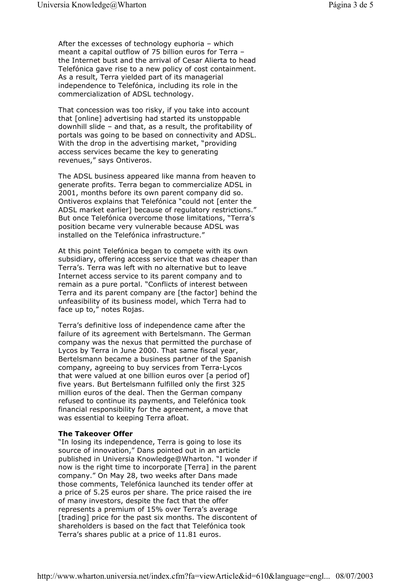After the excesses of technology euphoria – which meant a capital outflow of 75 billion euros for Terra – the Internet bust and the arrival of Cesar Alierta to head Telefónica gave rise to a new policy of cost containment. As a result, Terra yielded part of its managerial independence to Telefónica, including its role in the commercialization of ADSL technology.

That concession was too risky, if you take into account that [online] advertising had started its unstoppable downhill slide – and that, as a result, the profitability of portals was going to be based on connectivity and ADSL. With the drop in the advertising market, "providing access services became the key to generating revenues," says Ontiveros.

The ADSL business appeared like manna from heaven to generate profits. Terra began to commercialize ADSL in 2001, months before its own parent company did so. Ontiveros explains that Telefónica "could not [enter the ADSL market earlier] because of regulatory restrictions." But once Telefónica overcome those limitations, "Terra's position became very vulnerable because ADSL was installed on the Telefónica infrastructure."

At this point Telefónica began to compete with its own subsidiary, offering access service that was cheaper than Terra's. Terra was left with no alternative but to leave Internet access service to its parent company and to remain as a pure portal. "Conflicts of interest between Terra and its parent company are [the factor] behind the unfeasibility of its business model, which Terra had to face up to," notes Rojas.

Terra's definitive loss of independence came after the failure of its agreement with Bertelsmann. The German company was the nexus that permitted the purchase of Lycos by Terra in June 2000. That same fiscal year, Bertelsmann became a business partner of the Spanish company, agreeing to buy services from Terra-Lycos that were valued at one billion euros over [a period of] five years. But Bertelsmann fulfilled only the first 325 million euros of the deal. Then the German company refused to continue its payments, and Telefónica took financial responsibility for the agreement, a move that was essential to keeping Terra afloat.

## **The Takeover Offer**

"In losing its independence, Terra is going to lose its source of innovation," Dans pointed out in an article published in Universia Knowledge@Wharton. "I wonder if now is the right time to incorporate [Terra] in the parent company." On May 28, two weeks after Dans made those comments, Telefónica launched its tender offer at a price of 5.25 euros per share. The price raised the ire of many investors, despite the fact that the offer represents a premium of 15% over Terra's average [trading] price for the past six months. The discontent of shareholders is based on the fact that Telefónica took Terra's shares public at a price of 11.81 euros.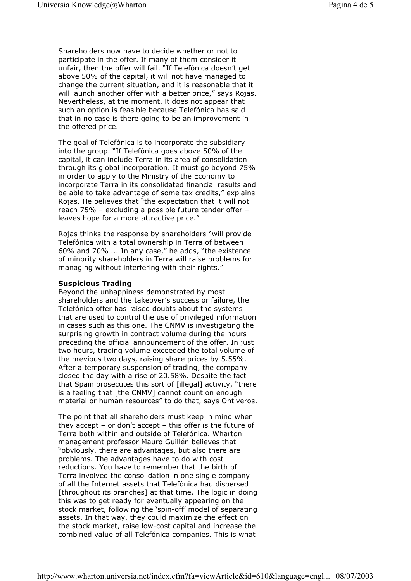Shareholders now have to decide whether or not to participate in the offer. If many of them consider it unfair, then the offer will fail. "If Telefónica doesn't get above 50% of the capital, it will not have managed to change the current situation, and it is reasonable that it will launch another offer with a better price," says Rojas. Nevertheless, at the moment, it does not appear that such an option is feasible because Telefónica has said that in no case is there going to be an improvement in the offered price.

The goal of Telefónica is to incorporate the subsidiary into the group. "If Telefónica goes above 50% of the capital, it can include Terra in its area of consolidation through its global incorporation. It must go beyond 75% in order to apply to the Ministry of the Economy to incorporate Terra in its consolidated financial results and be able to take advantage of some tax credits," explains Rojas. He believes that "the expectation that it will not reach 75% – excluding a possible future tender offer – leaves hope for a more attractive price."

Rojas thinks the response by shareholders "will provide Telefónica with a total ownership in Terra of between 60% and 70% ... In any case," he adds, "the existence of minority shareholders in Terra will raise problems for managing without interfering with their rights."

## **Suspicious Trading**

Beyond the unhappiness demonstrated by most shareholders and the takeover's success or failure, the Telefónica offer has raised doubts about the systems that are used to control the use of privileged information in cases such as this one. The CNMV is investigating the surprising growth in contract volume during the hours preceding the official announcement of the offer. In just two hours, trading volume exceeded the total volume of the previous two days, raising share prices by 5.55%. After a temporary suspension of trading, the company closed the day with a rise of 20.58%. Despite the fact that Spain prosecutes this sort of [illegal] activity, "there is a feeling that [the CNMV] cannot count on enough material or human resources" to do that, says Ontiveros.

The point that all shareholders must keep in mind when they accept – or don't accept – this offer is the future of Terra both within and outside of Telefónica. Wharton management professor Mauro Guillén believes that "obviously, there are advantages, but also there are problems. The advantages have to do with cost reductions. You have to remember that the birth of Terra involved the consolidation in one single company of all the Internet assets that Telefónica had dispersed [throughout its branches] at that time. The logic in doing this was to get ready for eventually appearing on the stock market, following the 'spin-off' model of separating assets. In that way, they could maximize the effect on the stock market, raise low-cost capital and increase the combined value of all Telefónica companies. This is what